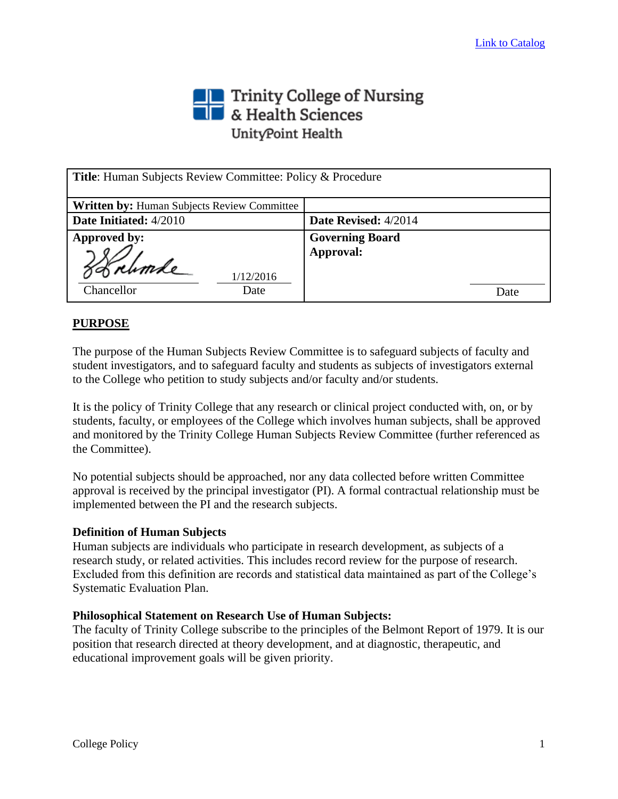# Trinity College of Nursing<br>
Section British Sciences UnityPoint Health

| <b>Title:</b> Human Subjects Review Committee: Policy & Procedure |                        |
|-------------------------------------------------------------------|------------------------|
| <b>Written by: Human Subjects Review Committee</b>                |                        |
| Date Initiated: 4/2010                                            | Date Revised: 4/2014   |
| Approved by:                                                      | <b>Governing Board</b> |
| Korhmde<br>1/12/2016<br>Chancellor<br>Date                        | Approval:<br>Date      |

# **PURPOSE**

The purpose of the Human Subjects Review Committee is to safeguard subjects of faculty and student investigators, and to safeguard faculty and students as subjects of investigators external to the College who petition to study subjects and/or faculty and/or students.

It is the policy of Trinity College that any research or clinical project conducted with, on, or by students, faculty, or employees of the College which involves human subjects, shall be approved and monitored by the Trinity College Human Subjects Review Committee (further referenced as the Committee).

No potential subjects should be approached, nor any data collected before written Committee approval is received by the principal investigator (PI). A formal contractual relationship must be implemented between the PI and the research subjects.

#### **Definition of Human Subjects**

Human subjects are individuals who participate in research development, as subjects of a research study, or related activities. This includes record review for the purpose of research. Excluded from this definition are records and statistical data maintained as part of the College's Systematic Evaluation Plan.

## **Philosophical Statement on Research Use of Human Subjects:**

The faculty of Trinity College subscribe to the principles of the Belmont Report of 1979. It is our position that research directed at theory development, and at diagnostic, therapeutic, and educational improvement goals will be given priority.